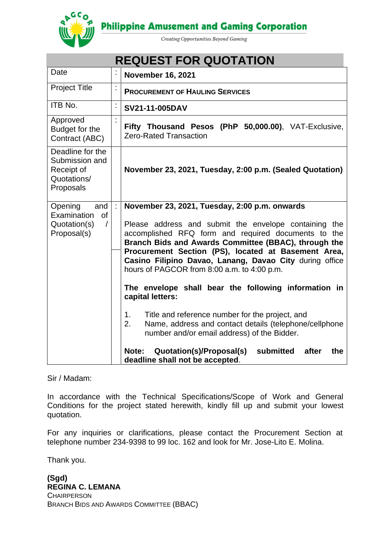**Philippine Amusement and Gaming Corporation** 



Creating Opportunities Beyond Gaming

| <b>REQUEST FOR QUOTATION</b>                                                            |                      |                                                                                                                                                                                                                                                                                                                                                                                                                                                                                                                                                                                                                                                                                                                                                 |
|-----------------------------------------------------------------------------------------|----------------------|-------------------------------------------------------------------------------------------------------------------------------------------------------------------------------------------------------------------------------------------------------------------------------------------------------------------------------------------------------------------------------------------------------------------------------------------------------------------------------------------------------------------------------------------------------------------------------------------------------------------------------------------------------------------------------------------------------------------------------------------------|
| Date                                                                                    | ĵ.                   | <b>November 16, 2021</b>                                                                                                                                                                                                                                                                                                                                                                                                                                                                                                                                                                                                                                                                                                                        |
| <b>Project Title</b>                                                                    | $\vdots$             | <b>PROCUREMENT OF HAULING SERVICES</b>                                                                                                                                                                                                                                                                                                                                                                                                                                                                                                                                                                                                                                                                                                          |
| ITB No.                                                                                 | $\ddot{\phantom{a}}$ | SV21-11-005DAV                                                                                                                                                                                                                                                                                                                                                                                                                                                                                                                                                                                                                                                                                                                                  |
| Approved<br>Budget for the<br>Contract (ABC)                                            |                      | Fifty Thousand Pesos (PhP 50,000.00), VAT-Exclusive,<br><b>Zero-Rated Transaction</b>                                                                                                                                                                                                                                                                                                                                                                                                                                                                                                                                                                                                                                                           |
| Deadline for the<br>Submission and<br>Receipt of<br>Quotations/<br>Proposals            |                      | November 23, 2021, Tuesday, 2:00 p.m. (Sealed Quotation)                                                                                                                                                                                                                                                                                                                                                                                                                                                                                                                                                                                                                                                                                        |
| Opening<br>and<br>Examination<br><b>of</b><br>Quotation(s)<br>$\sqrt{2}$<br>Proposal(s) | ċ                    | November 23, 2021, Tuesday, 2:00 p.m. onwards<br>Please address and submit the envelope containing the<br>accomplished RFQ form and required documents to the<br>Branch Bids and Awards Committee (BBAC), through the<br>Procurement Section (PS), located at Basement Area,<br>Casino Filipino Davao, Lanang, Davao City during office<br>hours of PAGCOR from 8:00 a.m. to 4:00 p.m.<br>The envelope shall bear the following information in<br>capital letters:<br>Title and reference number for the project, and<br>1.<br>Name, address and contact details (telephone/cellphone<br>2.<br>number and/or email address) of the Bidder.<br>submitted<br>Quotation(s)/Proposal(s)<br>Note:<br>after<br>the<br>deadline shall not be accepted. |

Sir / Madam:

In accordance with the Technical Specifications/Scope of Work and General Conditions for the project stated herewith, kindly fill up and submit your lowest quotation.

For any inquiries or clarifications, please contact the Procurement Section at telephone number 234-9398 to 99 loc. 162 and look for Mr. Jose-Lito E. Molina.

Thank you.

**(Sgd) REGINA C. LEMANA CHAIRPERSON** BRANCH BIDS AND AWARDS COMMITTEE (BBAC)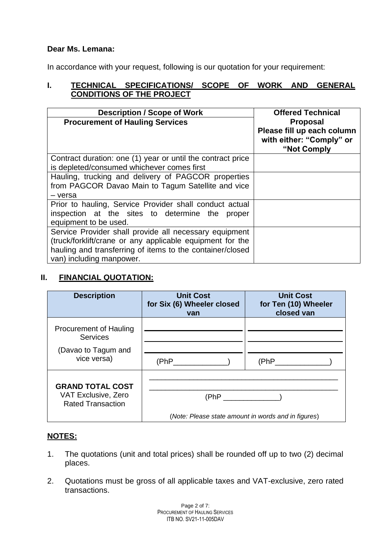## **Dear Ms. Lemana:**

In accordance with your request, following is our quotation for your requirement:

## **I. TECHNICAL SPECIFICATIONS/ SCOPE OF WORK AND GENERAL CONDITIONS OF THE PROJECT**

| <b>Description / Scope of Work</b>                            | <b>Offered Technical</b>                                              |
|---------------------------------------------------------------|-----------------------------------------------------------------------|
| <b>Procurement of Hauling Services</b>                        | <b>Proposal</b>                                                       |
|                                                               | Please fill up each column<br>with either: "Comply" or<br>"Not Comply |
| Contract duration: one (1) year or until the contract price   |                                                                       |
| is depleted/consumed whichever comes first                    |                                                                       |
| Hauling, trucking and delivery of PAGCOR properties           |                                                                       |
| from PAGCOR Davao Main to Tagum Satellite and vice<br>- versa |                                                                       |
| Prior to hauling, Service Provider shall conduct actual       |                                                                       |
| inspection at the sites to determine the<br>proper            |                                                                       |
| equipment to be used.                                         |                                                                       |
| Service Provider shall provide all necessary equipment        |                                                                       |
| (truck/forklift/crane or any applicable equipment for the     |                                                                       |
| hauling and transferring of items to the container/closed     |                                                                       |
| van) including manpower.                                      |                                                                       |

# **II. FINANCIAL QUOTATION:**

| <b>Description</b>                                                                     | <b>Unit Cost</b><br>for Six (6) Wheeler closed<br>van | <b>Unit Cost</b><br>for Ten (10) Wheeler<br>closed van |
|----------------------------------------------------------------------------------------|-------------------------------------------------------|--------------------------------------------------------|
| <b>Procurement of Hauling</b><br><b>Services</b><br>(Davao to Tagum and<br>vice versa) | (PhP                                                  | (PhP)                                                  |
| <b>GRAND TOTAL COST</b><br>VAT Exclusive, Zero<br><b>Rated Transaction</b>             | (Note: Please state amount in words and in figures)   |                                                        |

### **NOTES:**

- 1. The quotations (unit and total prices) shall be rounded off up to two (2) decimal places.
- 2. Quotations must be gross of all applicable taxes and VAT-exclusive, zero rated transactions.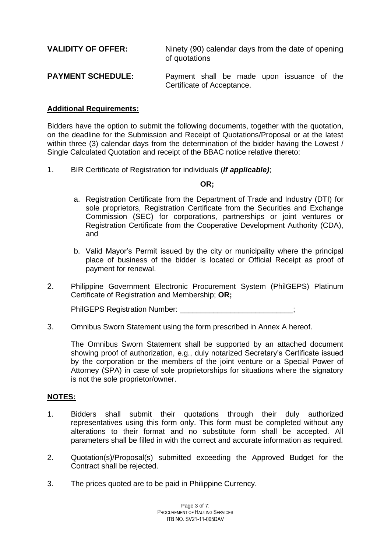| <b>VALIDITY OF OFFER:</b> | Ninety (90) calendar days from the date of opening<br>of quotations      |  |  |
|---------------------------|--------------------------------------------------------------------------|--|--|
| <b>PAYMENT SCHEDULE:</b>  | Payment shall be made upon issuance of the<br>Certificate of Acceptance. |  |  |

#### **Additional Requirements:**

Bidders have the option to submit the following documents, together with the quotation, on the deadline for the Submission and Receipt of Quotations/Proposal or at the latest within three (3) calendar days from the determination of the bidder having the Lowest / Single Calculated Quotation and receipt of the BBAC notice relative thereto:

1. BIR Certificate of Registration for individuals (*If applicable)*;

#### **OR;**

- a. Registration Certificate from the Department of Trade and Industry (DTI) for sole proprietors, Registration Certificate from the Securities and Exchange Commission (SEC) for corporations, partnerships or joint ventures or Registration Certificate from the Cooperative Development Authority (CDA), and
- b. Valid Mayor's Permit issued by the city or municipality where the principal place of business of the bidder is located or Official Receipt as proof of payment for renewal.
- 2. Philippine Government Electronic Procurement System (PhilGEPS) Platinum Certificate of Registration and Membership; **OR;**

PhilGEPS Registration Number: \_\_\_\_\_\_\_\_\_\_\_

3. Omnibus Sworn Statement using the form prescribed in Annex A hereof.

The Omnibus Sworn Statement shall be supported by an attached document showing proof of authorization, e.g., duly notarized Secretary's Certificate issued by the corporation or the members of the joint venture or a Special Power of Attorney (SPA) in case of sole proprietorships for situations where the signatory is not the sole proprietor/owner.

#### **NOTES:**

- 1. Bidders shall submit their quotations through their duly authorized representatives using this form only. This form must be completed without any alterations to their format and no substitute form shall be accepted. All parameters shall be filled in with the correct and accurate information as required.
- 2. Quotation(s)/Proposal(s) submitted exceeding the Approved Budget for the Contract shall be rejected.
- 3. The prices quoted are to be paid in Philippine Currency.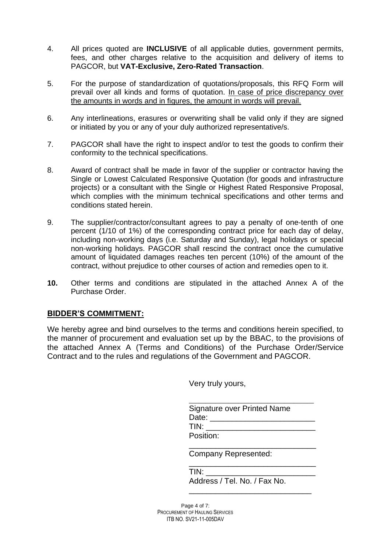- 4. All prices quoted are **INCLUSIVE** of all applicable duties, government permits, fees, and other charges relative to the acquisition and delivery of items to PAGCOR, but **VAT-Exclusive, Zero-Rated Transaction**.
- 5. For the purpose of standardization of quotations/proposals, this RFQ Form will prevail over all kinds and forms of quotation. In case of price discrepancy over the amounts in words and in figures, the amount in words will prevail.
- 6. Any interlineations, erasures or overwriting shall be valid only if they are signed or initiated by you or any of your duly authorized representative/s.
- 7. PAGCOR shall have the right to inspect and/or to test the goods to confirm their conformity to the technical specifications.
- 8. Award of contract shall be made in favor of the supplier or contractor having the Single or Lowest Calculated Responsive Quotation (for goods and infrastructure projects) or a consultant with the Single or Highest Rated Responsive Proposal, which complies with the minimum technical specifications and other terms and conditions stated herein.
- 9. The supplier/contractor/consultant agrees to pay a penalty of one-tenth of one percent (1/10 of 1%) of the corresponding contract price for each day of delay, including non-working days (i.e. Saturday and Sunday), legal holidays or special non-working holidays. PAGCOR shall rescind the contract once the cumulative amount of liquidated damages reaches ten percent (10%) of the amount of the contract, without prejudice to other courses of action and remedies open to it.
- **10.** Other terms and conditions are stipulated in the attached Annex A of the Purchase Order.

### **BIDDER'S COMMITMENT:**

We hereby agree and bind ourselves to the terms and conditions herein specified, to the manner of procurement and evaluation set up by the BBAC, to the provisions of the attached Annex A (Terms and Conditions) of the Purchase Order/Service Contract and to the rules and regulations of the Government and PAGCOR.

Very truly yours,

| Signature over Printed Name |  |
|-----------------------------|--|
| Date:                       |  |
| TIN:                        |  |
| Position:                   |  |

\_\_\_\_\_\_\_\_\_\_\_\_\_\_\_\_\_\_\_\_\_\_\_\_\_\_\_\_\_

\_\_\_\_\_\_\_\_\_\_\_\_\_\_\_\_\_\_\_\_\_\_\_\_\_\_\_\_\_

\_\_\_\_\_\_\_\_\_\_\_\_\_\_\_\_\_\_\_\_\_\_\_\_\_\_\_\_

Company Represented:

| TIN:                         |  |
|------------------------------|--|
| Address / Tel. No. / Fax No. |  |

Page 4 of 7: PROCUREMENT OF HAULING SERVICES ITB NO. SV21-11-005DAV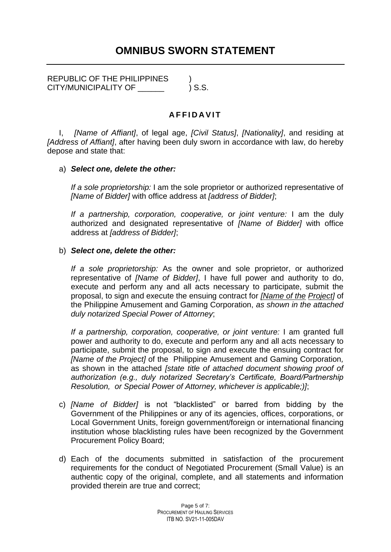REPUBLIC OF THE PHILIPPINES  $\qquad$ ) CITY/MUNICIPALITY OF  $\qquad \qquad$  ) S.S.

# **A F F I D A V I T**

I, *[Name of Affiant]*, of legal age, *[Civil Status]*, *[Nationality]*, and residing at *[Address of Affiant]*, after having been duly sworn in accordance with law, do hereby depose and state that:

### a) *Select one, delete the other:*

*If a sole proprietorship:* I am the sole proprietor or authorized representative of *[Name of Bidder]* with office address at *[address of Bidder]*;

*If a partnership, corporation, cooperative, or joint venture:* I am the duly authorized and designated representative of *[Name of Bidder]* with office address at *[address of Bidder]*;

#### b) *Select one, delete the other:*

*If a sole proprietorship:* As the owner and sole proprietor, or authorized representative of *[Name of Bidder]*, I have full power and authority to do, execute and perform any and all acts necessary to participate, submit the proposal, to sign and execute the ensuing contract for *[Name of the Project]* of the Philippine Amusement and Gaming Corporation, *as shown in the attached duly notarized Special Power of Attorney*;

*If a partnership, corporation, cooperative, or joint venture:* I am granted full power and authority to do, execute and perform any and all acts necessary to participate, submit the proposal, to sign and execute the ensuing contract for *[Name of the Project]* of the Philippine Amusement and Gaming Corporation*,*  as shown in the attached *[state title of attached document showing proof of authorization (e.g., duly notarized Secretary's Certificate, Board/Partnership Resolution, or Special Power of Attorney, whichever is applicable;)]*;

- c) *[Name of Bidder]* is not "blacklisted" or barred from bidding by the Government of the Philippines or any of its agencies, offices, corporations, or Local Government Units, foreign government/foreign or international financing institution whose blacklisting rules have been recognized by the Government Procurement Policy Board;
- d) Each of the documents submitted in satisfaction of the procurement requirements for the conduct of Negotiated Procurement (Small Value) is an authentic copy of the original, complete, and all statements and information provided therein are true and correct;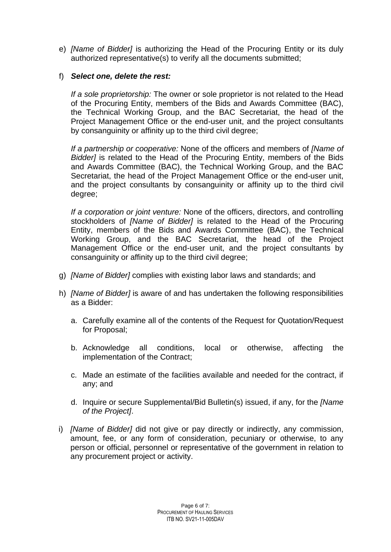e) *[Name of Bidder]* is authorizing the Head of the Procuring Entity or its duly authorized representative(s) to verify all the documents submitted;

## f) *Select one, delete the rest:*

*If a sole proprietorship:* The owner or sole proprietor is not related to the Head of the Procuring Entity, members of the Bids and Awards Committee (BAC), the Technical Working Group, and the BAC Secretariat, the head of the Project Management Office or the end-user unit, and the project consultants by consanguinity or affinity up to the third civil degree;

*If a partnership or cooperative:* None of the officers and members of *[Name of Bidder]* is related to the Head of the Procuring Entity, members of the Bids and Awards Committee (BAC), the Technical Working Group, and the BAC Secretariat, the head of the Project Management Office or the end-user unit, and the project consultants by consanguinity or affinity up to the third civil degree;

*If a corporation or joint venture:* None of the officers, directors, and controlling stockholders of *[Name of Bidder]* is related to the Head of the Procuring Entity, members of the Bids and Awards Committee (BAC), the Technical Working Group, and the BAC Secretariat, the head of the Project Management Office or the end-user unit, and the project consultants by consanguinity or affinity up to the third civil degree;

- g) *[Name of Bidder]* complies with existing labor laws and standards; and
- h) *[Name of Bidder]* is aware of and has undertaken the following responsibilities as a Bidder:
	- a. Carefully examine all of the contents of the Request for Quotation/Request for Proposal;
	- b. Acknowledge all conditions, local or otherwise, affecting the implementation of the Contract;
	- c. Made an estimate of the facilities available and needed for the contract, if any; and
	- d. Inquire or secure Supplemental/Bid Bulletin(s) issued, if any, for the *[Name of the Project]*.
- i) *[Name of Bidder]* did not give or pay directly or indirectly, any commission, amount, fee, or any form of consideration, pecuniary or otherwise, to any person or official, personnel or representative of the government in relation to any procurement project or activity.